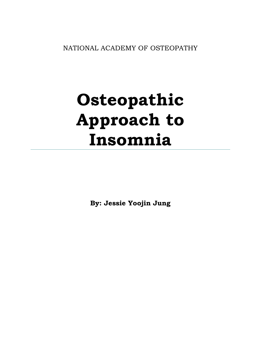NATIONAL ACADEMY OF OSTEOPATHY

# **Osteopathic Approach to Insomnia**

**By: Jessie Yoojin Jung**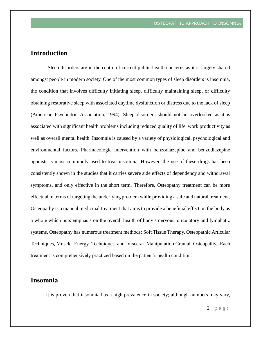# **Introduction**

Sleep disorders are in the centre of current public health concerns as it is largely shared amongst people in modern society. One of the most common types of sleep disorders is insomnia, the condition that involves difficulty initiating sleep, difficulty maintaining sleep, or difficulty obtaining restorative sleep with associated daytime dysfunction or distress due to the lack of sleep (American Psychiatric Association, 1994). Sleep disorders should not be overlooked as it is associated with significant health problems including reduced quality of life, work productivity as well as overall mental health. Insomnia is caused by a variety of physiological, psychological and environmental factors. Pharmacologic intervention with benzodiazepine and benzodiazepine agonists is most commonly used to treat insomnia. However, the use of these drugs has been consistently shown in the studies that it carries severe side effects of dependency and withdrawal symptoms, and only effective in the short term. Therefore, Osteopathy treatment can be more effectual in terms of targeting the underlying problem while providing a safe and natural treatment. Osteopathy is a manual medicinal treatment that aims to provide a beneficial effect on the body as a whole which puts emphasis on the overall health of body's nervous, circulatory and lymphatic systems. Osteopathy has numerous treatment methods; Soft Tissue Therapy, Osteopathic Articular Techniques, Muscle Energy Techniques and Visceral Manipulation Cranial Osteopathy. Each treatment is comprehensively practiced based on the patient's health condition.

## **Insomnia**

It is proven that insomnia has a high prevalence in society; although numbers may vary,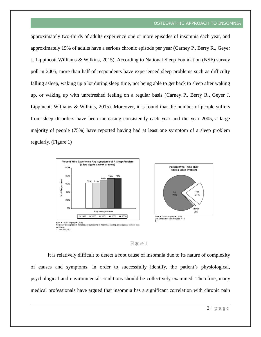approximately two-thirds of adults experience one or more episodes of insomnia each year, and approximately 15% of adults have a serious chronic episode per year (Carney P., Berry R., Geyer J. Lippincott Williams & Wilkins, 2015). According to National Sleep Foundation (NSF) survey poll in 2005, more than half of respondents have experienced sleep problems such as difficulty falling asleep, waking up a lot during sleep time, not being able to get back to sleep after waking up, or waking up with unrefreshed feeling on a regular basis (Carney P., Berry R., Geyer J. Lippincott Williams & Wilkins, 2015). Moreover, it is found that the number of people suffers from sleep disorders have been increasing consistently each year and the year 2005, a large majority of people (75%) have reported having had at least one symptom of a sleep problem regularly. (Figure 1)





#### Figure 1

It is relatively difficult to detect a root cause of insomnia due to its nature of complexity of causes and symptoms. In order to successfully identify, the patient's physiological, psychological and environmental conditions should be collectively examined. Therefore, many medical professionals have argued that insomnia has a significant correlation with chronic pain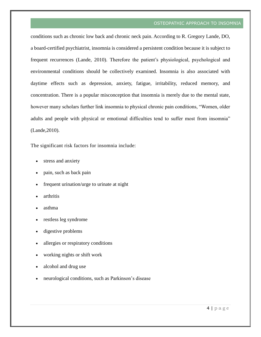conditions such as chronic low back and chronic neck pain. According to R. Gregory Lande, DO, a board-certified psychiatrist, insomnia is considered a persistent condition because it is subject to frequent recurrences (Lande, 2010). Therefore the patient's physiological, psychological and environmental conditions should be collectively examined. Insomnia is also associated with daytime effects such as depression, anxiety, fatigue, irritability, reduced memory, and concentration. There is a popular misconception that insomnia is merely due to the mental state, however many scholars further link insomnia to physical chronic pain conditions, "Women, older adults and people with physical or emotional difficulties tend to suffer most from insomnia" (Lande,2010).

The significant risk factors for insomnia include:

- stress and anxiety
- pain, such as [back pain](https://draxe.com/lower-back-pain-relief/)
- frequent urination/urge to urinate at night
- arthritis
- asthma
- restless leg syndrome
- digestive problems
- allergies or respiratory conditions
- working nights or shift work
- alcohol and drug use
- neurological conditions, such as [Parkinson's disease](https://draxe.com/parkinsons-symptoms/)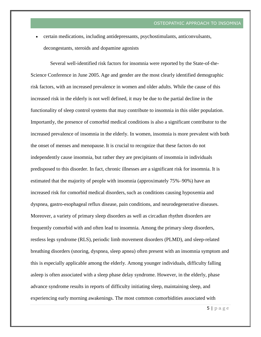certain medications, including [antidepressants,](https://draxe.com/hub/what-are-psychotropic-drugs/natural-alternatives-to-psychiatric-drugs/) psychostimulants, anticonvulsants, decongestants, steroids and dopamine agonists

Several well-identified risk factors for insomnia were reported by the State-of-the-Science Conference in June 2005. Age and gender are the most clearly identified demographic risk factors, with an increased prevalence in women and older adults. While the cause of this increased risk in the elderly is not well defined, it may be due to the partial decline in the functionality of sleep control systems that may contribute to insomnia in this older population. Importantly, the presence of comorbid medical conditions is also a significant contributor to the increased prevalence of insomnia in the elderly. In women, insomnia is more prevalent with both the onset of menses and menopause. It is crucial to recognize that these factors do not independently cause insomnia, but rather they are precipitants of insomnia in individuals predisposed to this disorder. In fact, chronic illnesses are a significant risk for insomnia. It is estimated that the majority of people with insomnia (approximately 75%–90%) have an increased risk for comorbid medical disorders, such as conditions causing hypoxemia and dyspnea, gastro-esophageal reflux disease, pain conditions, and neurodegenerative diseases. Moreover, a variety of primary sleep disorders as well as circadian rhythm disorders are frequently comorbid with and often lead to insomnia. Among the primary sleep disorders, restless legs syndrome (RLS), periodic limb movement disorders (PLMD), and sleep-related breathing disorders (snoring, dyspnea, sleep apnea) often present with an insomnia symptom and this is especially applicable among the elderly. Among younger individuals, difficulty falling asleep is often associated with a sleep phase delay syndrome. However, in the elderly, phase advance syndrome results in reports of difficulty initiating sleep, maintaining sleep, and experiencing early morning awakenings. The most common comorbidities associated with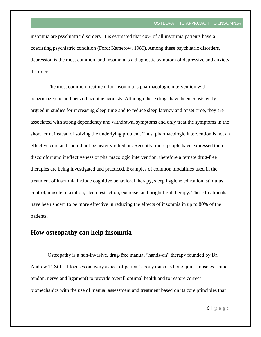insomnia are psychiatric disorders. It is estimated that 40% of all insomnia patients have a coexisting psychiatric condition (Ford; Kamerow, 1989). Among these psychiatric disorders, depression is the most common, and insomnia is a diagnostic symptom of depressive and anxiety disorders.

The most common treatment for insomnia is pharmacologic intervention with benzodiazepine and benzodiazepine agonists. Although these drugs have been consistently argued in studies for increasing sleep time and to reduce sleep latency and onset time, they are associated with strong dependency and withdrawal symptoms and only treat the symptoms in the short term, instead of solving the underlying problem. Thus, pharmacologic intervention is not an effective cure and should not be heavily relied on. Recently, more people have expressed their discomfort and ineffectiveness of pharmacologic intervention, therefore alternate drug-free therapies are being investigated and practiced. Examples of common modalities used in the treatment of insomnia include cognitive behavioral therapy, sleep hygiene education, stimulus control, muscle relaxation, sleep restriction, exercise, and bright light therapy. These treatments have been shown to be more effective in reducing the effects of insomnia in up to 80% of the patients.

## **How osteopathy can help insomnia**

Osteopathy is a non-invasive, drug-free manual "hands-on" therapy founded by Dr. Andrew T. Still. It focuses on every aspect of patient's body (such as bone, joint, muscles, spine, tendon, nerve and ligament) to provide overall optimal health and to restore correct biomechanics with the use of manual assessment and treatment based on its core principles that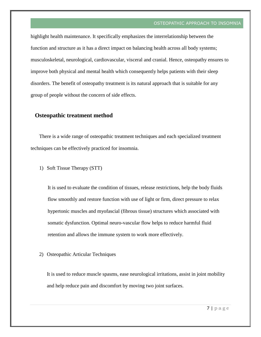highlight health maintenance. It specifically emphasizes the interrelationship between the function and structure as it has a direct impact on balancing health across all body systems; musculoskeletal, neurological, cardiovascular, visceral and cranial. Hence, osteopathy ensures to improve both physical and mental health which consequently helps patients with their sleep disorders. The benefit of osteopathy treatment is its natural approach that is suitable for any group of people without the concern of side effects.

### **Osteopathic treatment method**

There is a wide range of osteopathic treatment techniques and each specialized treatment techniques can be effectively practiced for insomnia.

1) Soft Tissue Therapy (STT)

It is used to evaluate the condition of tissues, release restrictions, help the body fluids flow smoothly and restore function with use of light or firm, direct pressure to relax hypertonic muscles and myofascial (fibrous tissue) structures which associated with somatic dysfunction. Optimal neuro-vascular flow helps to reduce harmful fluid retention and allows the immune system to work more effectively.

2) Osteopathic Articular Techniques

It is used to reduce muscle spasms, ease neurological irritations, assist in joint mobility and help reduce pain and discomfort by moving two joint surfaces.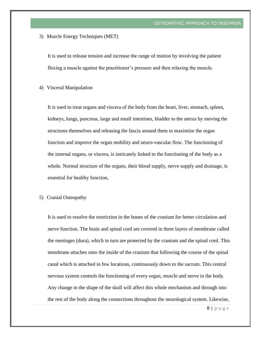3) Muscle Energy Techniques (MET)

It is used to release tension and increase the range of motion by involving the patient flexing a muscle against the practitioner's pressure and then relaxing the muscle.

4) Visceral Manipulation

It is used to treat organs and viscera of the body from the heart, liver, stomach, spleen, kidneys, lungs, pancreas, large and small intestines, bladder to the uterus by moving the structures themselves and releasing the fascia around them to maximize the organ function and improve the organ mobility and neuro-vascular flow. The functioning of the internal organs, or viscera, is intricately linked to the functioning of the body as a whole. Normal structure of the organs, their blood supply, nerve supply and drainage, is essential for healthy function,

5) Cranial Osteopathy

It is used to resolve the restriction in the bones of the cranium for better circulation and nerve function. The brain and spinal cord are covered in three layers of membrane called the meninges (dura), which in turn are protected by the cranium and the spinal cord. This membrane attaches onto the inside of the cranium that following the course of the spinal canal which is attached in few locations, continuously down to the sacrum. This central nervous system controls the functioning of every organ, muscle and nerve in the body. Any change in the shape of the skull will affect this whole mechanism and through into the rest of the body along the connections throughout the neurological system. Likewise,

 $8$  | page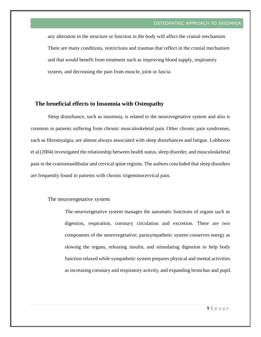any alteration in the structure or function in the body will affect the cranial mechanism. There are many conditions, restrictions and traumas that reflect in the cranial mechanism and that would benefit from treatment such as improving blood supply, respiratory system, and decreasing the pain from muscle, joint or fascia.

## **The beneficial effects to Insomnia with Osteopathy**

Sleep disturbance, such as insomnia, is related to the neurovegetative system and also is common in patients suffering from chronic musculoskeletal pain. Other chronic pain syndromes, such as fibromyalgia, are almost always associated with sleep disturbances and fatigue. Lobbezoo et al(2004) investigated the relationship between health status, sleep disorder, and musculoskeletal pain in the craniomandibular and cervical spine regions. The authors concluded that sleep disorders are frequently found in patients with chronic trigeminocervical pain.

#### The neurovegetative system

The neurovegetative system manages the automatic functions of organs such as digestion, respiration, coronary circulation and excretion. There are two components of the neurovegetative; parasympathetic system conserves energy as slowing the organs, releasing insulin, and stimulating digestion to help body function relaxed while sympathetic system prepares physical and mental activities as increasing coronary and respiratory activity, and expanding bronchus and pupil.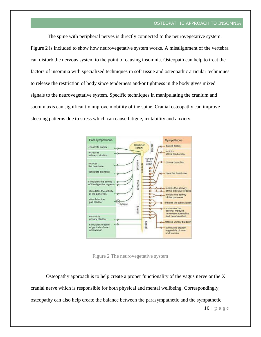The spine with peripheral nerves is directly connected to the neurovegetative system. Figure 2 is included to show how neurovegetative system works. A misalignment of the vertebra can disturb the nervous system to the point of causing insomnia. Osteopath can help to treat the factors of insomnia with specialized techniques in soft tissue and osteopathic articular techniques to release the restriction of body since tenderness and/or tightness in the body gives mixed signals to the neurovegetative system. Specific techniques in manipulating the cranium and sacrum axis can significantly improve mobility of the spine. Cranial osteopathy can improve sleeping patterns due to stress which can cause fatigue, irritability and anxiety.



Figure 2 The neurovegetative system

Osteopathy approach is to help create a proper functionality of the vagus nerve or the X cranial nerve which is responsible for both physical and mental wellbeing. Correspondingly, osteopathy can also help create the balance between the parasympathetic and the sympathetic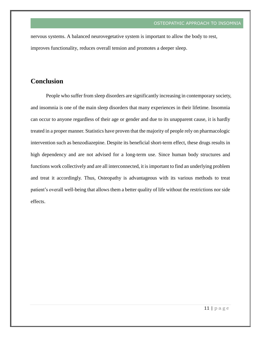nervous systems. A balanced neurovegetative system is important to allow the body to rest, improves functionality, reduces overall tension and promotes a deeper sleep.

## **Conclusion**

People who suffer from sleep disorders are significantly increasing in contemporary society, and insomnia is one of the main sleep disorders that many experiences in their lifetime. Insomnia can occur to anyone regardless of their age or gender and due to its unapparent cause, it is hardly treated in a proper manner. Statistics have proven that the majority of people rely on pharmacologic intervention such as benzodiazepine. Despite its beneficial short-term effect, these drugs results in high dependency and are not advised for a long-term use. Since human body structures and functions work collectively and are all interconnected, it is important to find an underlying problem and treat it accordingly. Thus, Osteopathy is advantageous with its various methods to treat patient's overall well-being that allows them a better quality of life without the restrictions nor side effects.